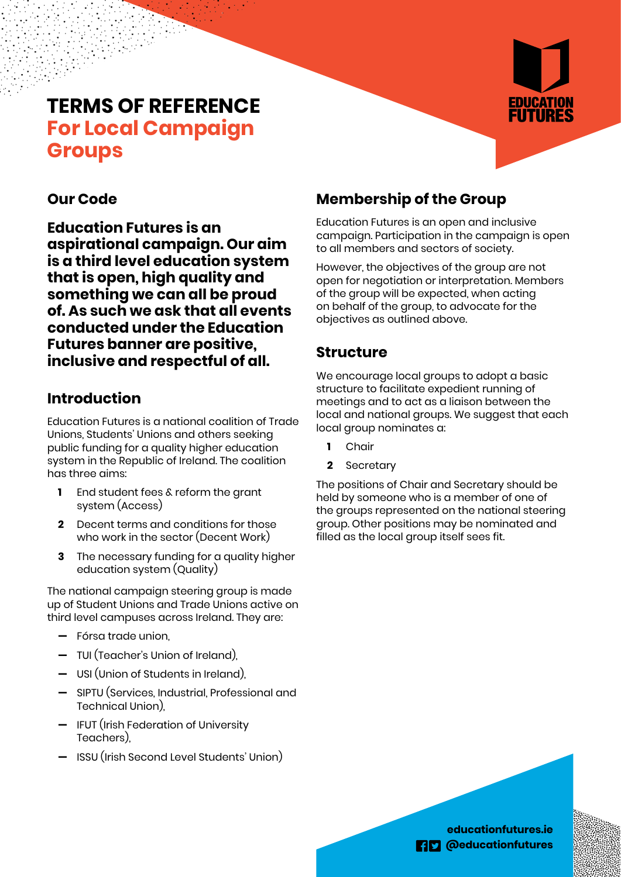# **TERMS OF REFERENCE For Local Campaign Groups**



## **Our Code**

**Education Futures is an aspirational campaign. Our aim is a third level education system that is open, high quality and something we can all be proud of. As such we ask that all events conducted under the Education Futures banner are positive, inclusive and respectful of all.**

## **Introduction**

Education Futures is a national coalition of Trade Unions, Students' Unions and others seeking public funding for a quality higher education system in the Republic of Ireland. The coalition has three aims:

- **1** End student fees & reform the grant system (Access)
- **2** Decent terms and conditions for those who work in the sector (Decent Work)
- **3** The necessary funding for a quality higher education system (Quality)

The national campaign steering group is made up of Student Unions and Trade Unions active on third level campuses across Ireland. They are:

- **—** Fórsa trade union,
- **—** TUI (Teacher's Union of Ireland),
- **—** USI (Union of Students in Ireland),
- **—** SIPTU (Services, Industrial, Professional and Technical Union),
- **—** IFUT (Irish Federation of University Teachers),
- **—** ISSU (Irish Second Level Students' Union)

## **Membership of the Group**

Education Futures is an open and inclusive campaign. Participation in the campaign is open to all members and sectors of society.

However, the objectives of the group are not open for negotiation or interpretation. Members of the group will be expected, when acting on behalf of the group, to advocate for the objectives as outlined above.

#### **Structure**

We encourage local groups to adopt a basic structure to facilitate expedient running of meetings and to act as a liaison between the local and national groups. We suggest that each local group nominates a:

- **1** Chair
- **2** Secretary

The positions of Chair and Secretary should be held by someone who is a member of one of the groups represented on the national steering group. Other positions may be nominated and filled as the local group itself sees fit.

> **educationfutures.ie EB** @educationfutures